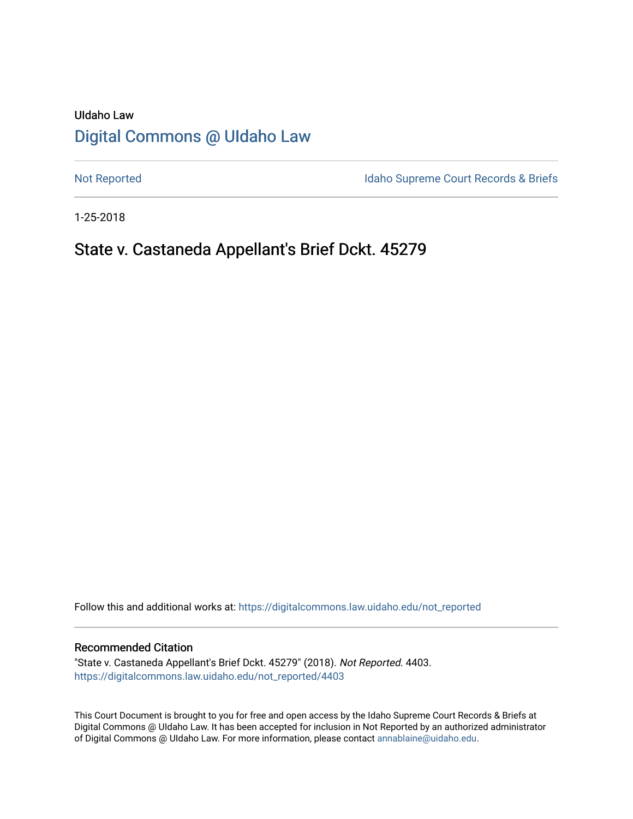# UIdaho Law [Digital Commons @ UIdaho Law](https://digitalcommons.law.uidaho.edu/)

[Not Reported](https://digitalcommons.law.uidaho.edu/not_reported) **Idaho Supreme Court Records & Briefs** 

1-25-2018

# State v. Castaneda Appellant's Brief Dckt. 45279

Follow this and additional works at: [https://digitalcommons.law.uidaho.edu/not\\_reported](https://digitalcommons.law.uidaho.edu/not_reported?utm_source=digitalcommons.law.uidaho.edu%2Fnot_reported%2F4403&utm_medium=PDF&utm_campaign=PDFCoverPages) 

#### Recommended Citation

"State v. Castaneda Appellant's Brief Dckt. 45279" (2018). Not Reported. 4403. [https://digitalcommons.law.uidaho.edu/not\\_reported/4403](https://digitalcommons.law.uidaho.edu/not_reported/4403?utm_source=digitalcommons.law.uidaho.edu%2Fnot_reported%2F4403&utm_medium=PDF&utm_campaign=PDFCoverPages)

This Court Document is brought to you for free and open access by the Idaho Supreme Court Records & Briefs at Digital Commons @ UIdaho Law. It has been accepted for inclusion in Not Reported by an authorized administrator of Digital Commons @ UIdaho Law. For more information, please contact [annablaine@uidaho.edu](mailto:annablaine@uidaho.edu).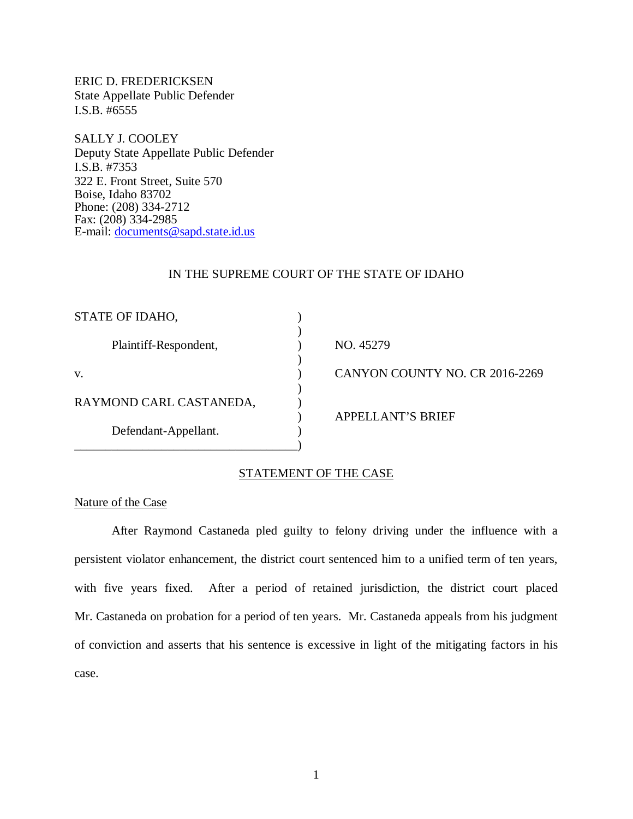ERIC D. FREDERICKSEN State Appellate Public Defender I.S.B. #6555

SALLY J. COOLEY Deputy State Appellate Public Defender I.S.B. #7353 322 E. Front Street, Suite 570 Boise, Idaho 83702 Phone: (208) 334-2712 Fax: (208) 334-2985 E-mail: [documents@sapd.state.id.us](mailto:documents@sapd.state.id.us)

#### IN THE SUPREME COURT OF THE STATE OF IDAHO

| STATE OF IDAHO,         |                                |
|-------------------------|--------------------------------|
| Plaintiff-Respondent,   | NO. 45279                      |
| V.                      | CANYON COUNTY NO. CR 2016-2269 |
| RAYMOND CARL CASTANEDA, |                                |
| Defendant-Appellant.    | APPELLANT'S BRIEF              |
|                         |                                |

## STATEMENT OF THE CASE

## Nature of the Case

After Raymond Castaneda pled guilty to felony driving under the influence with a persistent violator enhancement, the district court sentenced him to a unified term of ten years, with five years fixed. After a period of retained jurisdiction, the district court placed Mr. Castaneda on probation for a period of ten years. Mr. Castaneda appeals from his judgment of conviction and asserts that his sentence is excessive in light of the mitigating factors in his case.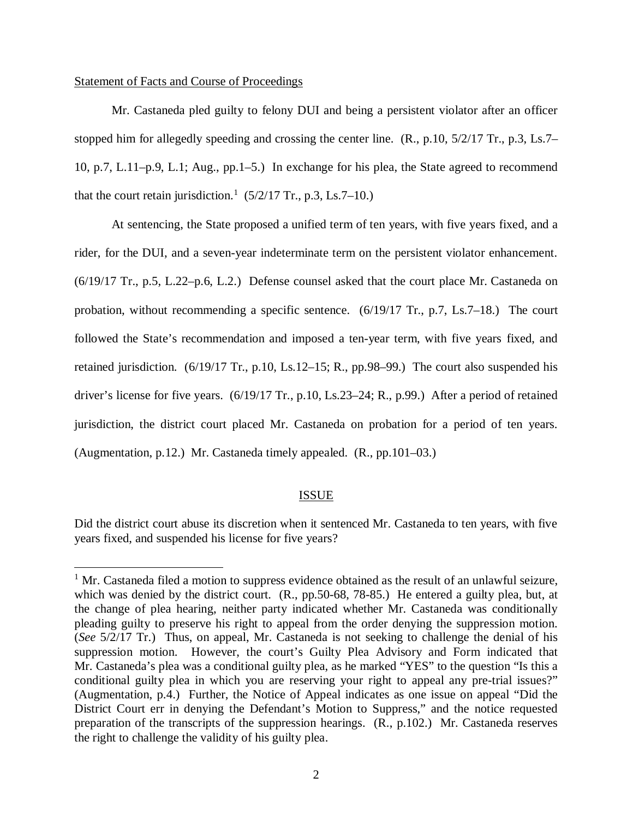#### Statement of Facts and Course of Proceedings

Mr. Castaneda pled guilty to felony DUI and being a persistent violator after an officer stopped him for allegedly speeding and crossing the center line. (R., p.10, 5/2/17 Tr., p.3, Ls.7– 10, p.7, L.11–p.9, L.1; Aug., pp.1–5.) In exchange for his plea, the State agreed to recommend that the court retain jurisdiction.<sup>[1](#page-2-0)</sup> (5/2/17 Tr., p.3, Ls.7–10.)

At sentencing, the State proposed a unified term of ten years, with five years fixed, and a rider, for the DUI, and a seven-year indeterminate term on the persistent violator enhancement. (6/19/17 Tr., p.5, L.22–p.6, L.2.) Defense counsel asked that the court place Mr. Castaneda on probation, without recommending a specific sentence. (6/19/17 Tr., p.7, Ls.7–18.) The court followed the State's recommendation and imposed a ten-year term, with five years fixed, and retained jurisdiction. (6/19/17 Tr., p.10, Ls.12–15; R., pp.98–99.) The court also suspended his driver's license for five years. (6/19/17 Tr., p.10, Ls.23–24; R., p.99.) After a period of retained jurisdiction, the district court placed Mr. Castaneda on probation for a period of ten years. (Augmentation, p.12.) Mr. Castaneda timely appealed. (R., pp.101–03.)

### ISSUE

Did the district court abuse its discretion when it sentenced Mr. Castaneda to ten years, with five years fixed, and suspended his license for five years?

<span id="page-2-0"></span> $1$  Mr. Castaneda filed a motion to suppress evidence obtained as the result of an unlawful seizure, which was denied by the district court. (R., pp.50-68, 78-85.) He entered a guilty plea, but, at the change of plea hearing, neither party indicated whether Mr. Castaneda was conditionally pleading guilty to preserve his right to appeal from the order denying the suppression motion. (*See* 5/2/17 Tr.) Thus, on appeal, Mr. Castaneda is not seeking to challenge the denial of his suppression motion. However, the court's Guilty Plea Advisory and Form indicated that Mr. Castaneda's plea was a conditional guilty plea, as he marked "YES" to the question "Is this a conditional guilty plea in which you are reserving your right to appeal any pre-trial issues?" (Augmentation, p.4.) Further, the Notice of Appeal indicates as one issue on appeal "Did the District Court err in denying the Defendant's Motion to Suppress," and the notice requested preparation of the transcripts of the suppression hearings. (R., p.102.) Mr. Castaneda reserves the right to challenge the validity of his guilty plea.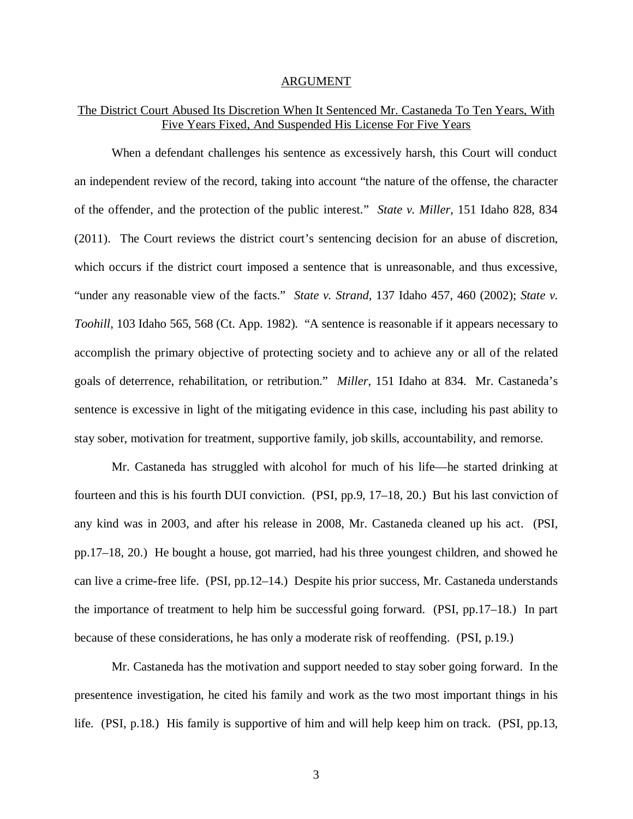#### ARGUMENT

## The District Court Abused Its Discretion When It Sentenced Mr. Castaneda To Ten Years, With Five Years Fixed, And Suspended His License For Five Years

When a defendant challenges his sentence as excessively harsh, this Court will conduct an independent review of the record, taking into account "the nature of the offense, the character of the offender, and the protection of the public interest." *State v. Miller*, 151 Idaho 828, 834 (2011). The Court reviews the district court's sentencing decision for an abuse of discretion, which occurs if the district court imposed a sentence that is unreasonable, and thus excessive, "under any reasonable view of the facts." *State v. Strand*, 137 Idaho 457, 460 (2002); *State v. Toohill*, 103 Idaho 565, 568 (Ct. App. 1982). "A sentence is reasonable if it appears necessary to accomplish the primary objective of protecting society and to achieve any or all of the related goals of deterrence, rehabilitation, or retribution." *Miller*, 151 Idaho at 834. Mr. Castaneda's sentence is excessive in light of the mitigating evidence in this case, including his past ability to stay sober, motivation for treatment, supportive family, job skills, accountability, and remorse.

Mr. Castaneda has struggled with alcohol for much of his life—he started drinking at fourteen and this is his fourth DUI conviction. (PSI, pp.9, 17–18, 20.) But his last conviction of any kind was in 2003, and after his release in 2008, Mr. Castaneda cleaned up his act. (PSI, pp.17–18, 20.) He bought a house, got married, had his three youngest children, and showed he can live a crime-free life. (PSI, pp.12–14.) Despite his prior success, Mr. Castaneda understands the importance of treatment to help him be successful going forward. (PSI, pp.17–18.) In part because of these considerations, he has only a moderate risk of reoffending. (PSI, p.19.)

Mr. Castaneda has the motivation and support needed to stay sober going forward. In the presentence investigation, he cited his family and work as the two most important things in his life. (PSI, p.18.) His family is supportive of him and will help keep him on track. (PSI, pp.13,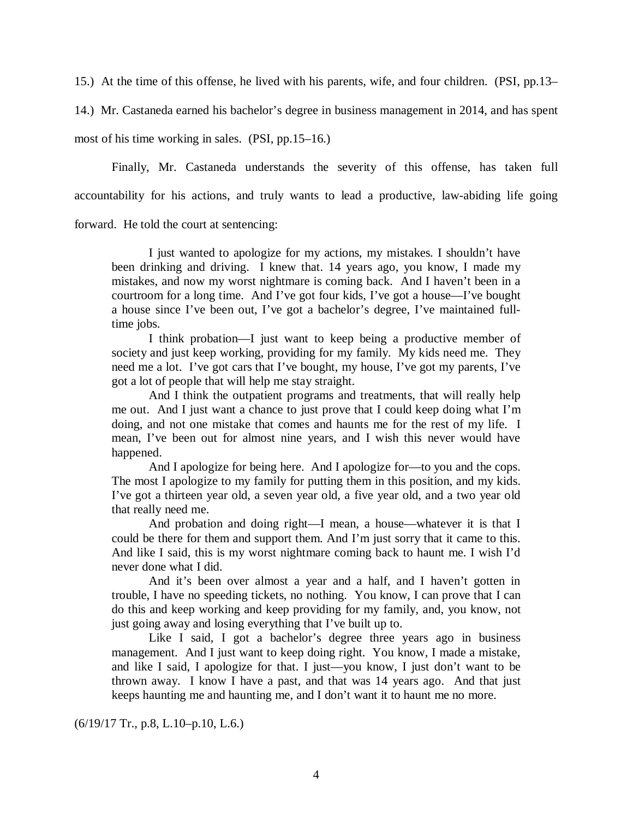15.) At the time of this offense, he lived with his parents, wife, and four children. (PSI, pp.13–

14.) Mr. Castaneda earned his bachelor's degree in business management in 2014, and has spent

most of his time working in sales. (PSI, pp.15–16.)

Finally, Mr. Castaneda understands the severity of this offense, has taken full accountability for his actions, and truly wants to lead a productive, law-abiding life going

forward. He told the court at sentencing:

I just wanted to apologize for my actions, my mistakes. I shouldn't have been drinking and driving. I knew that. 14 years ago, you know, I made my mistakes, and now my worst nightmare is coming back. And I haven't been in a courtroom for a long time. And I've got four kids, I've got a house—I've bought a house since I've been out, I've got a bachelor's degree, I've maintained fulltime jobs.

I think probation—I just want to keep being a productive member of society and just keep working, providing for my family. My kids need me. They need me a lot. I've got cars that I've bought, my house, I've got my parents, I've got a lot of people that will help me stay straight.

And I think the outpatient programs and treatments, that will really help me out. And I just want a chance to just prove that I could keep doing what I'm doing, and not one mistake that comes and haunts me for the rest of my life. I mean, I've been out for almost nine years, and I wish this never would have happened.

And I apologize for being here. And I apologize for—to you and the cops. The most I apologize to my family for putting them in this position, and my kids. I've got a thirteen year old, a seven year old, a five year old, and a two year old that really need me.

And probation and doing right—I mean, a house—whatever it is that I could be there for them and support them. And I'm just sorry that it came to this. And like I said, this is my worst nightmare coming back to haunt me. I wish I'd never done what I did.

And it's been over almost a year and a half, and I haven't gotten in trouble, I have no speeding tickets, no nothing. You know, I can prove that I can do this and keep working and keep providing for my family, and, you know, not just going away and losing everything that I've built up to.

Like I said, I got a bachelor's degree three years ago in business management. And I just want to keep doing right. You know, I made a mistake, and like I said, I apologize for that. I just—you know, I just don't want to be thrown away. I know I have a past, and that was 14 years ago. And that just keeps haunting me and haunting me, and I don't want it to haunt me no more.

(6/19/17 Tr., p.8, L.10–p.10, L.6.)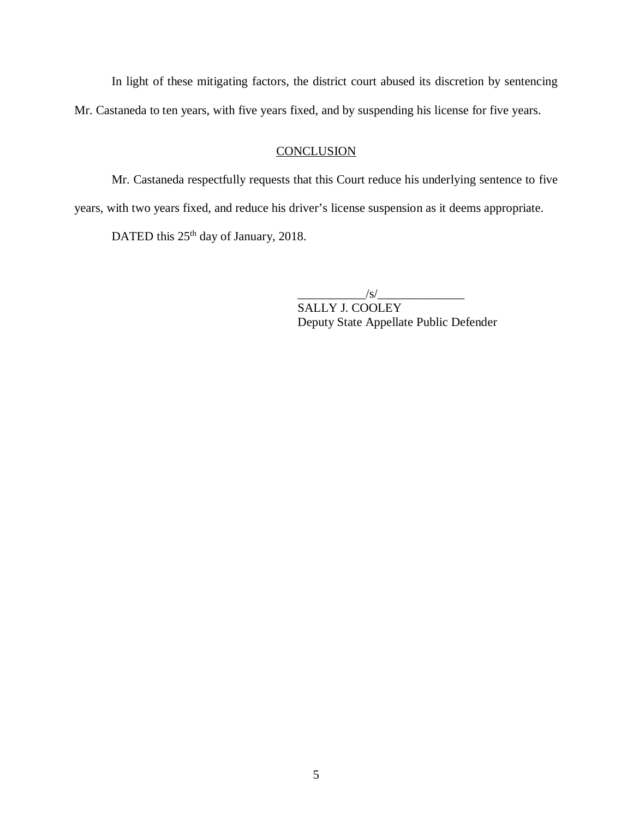In light of these mitigating factors, the district court abused its discretion by sentencing Mr. Castaneda to ten years, with five years fixed, and by suspending his license for five years.

## **CONCLUSION**

Mr. Castaneda respectfully requests that this Court reduce his underlying sentence to five years, with two years fixed, and reduce his driver's license suspension as it deems appropriate.

DATED this  $25<sup>th</sup>$  day of January, 2018.

 $\frac{1}{s}$ 

SALLY J. COOLEY Deputy State Appellate Public Defender